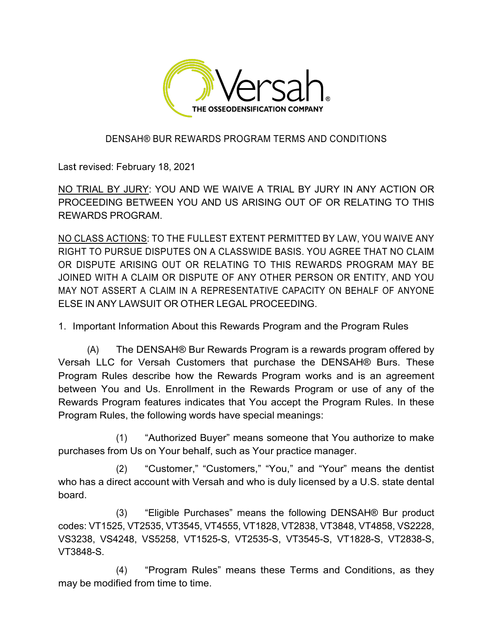

## DENSAH® BUR REWARDS PROGRAM TERMS AND CONDITIONS

Last revised: February 18, 2021

NO TRIAL BY JURY: YOU AND WE WAIVE A TRIAL BY JURY IN ANY ACTION OR PROCEEDING BETWEEN YOU AND US ARISING OUT OF OR RELATING TO THIS REWARDS PROGRAM.

NO CLASS ACTIONS: TO THE FULLEST EXTENT PERMITTED BY LAW, YOU WAIVE ANY RIGHT TO PURSUE DISPUTES ON A CLASSWIDE BASIS. YOU AGREE THAT NO CLAIM OR DISPUTE ARISING OUT OR RELATING TO THIS REWARDS PROGRAM MAY BE JOINED WITH A CLAIM OR DISPUTE OF ANY OTHER PERSON OR ENTITY, AND YOU MAY NOT ASSERT A CLAIM IN A REPRESENTATIVE CAPACITY ON BEHALF OF ANYONE ELSE IN ANY LAWSUIT OR OTHER LEGAL PROCEEDING.

1. Important Information About this Rewards Program and the Program Rules

(A) The DENSAH® Bur Rewards Program is a rewards program offered by Versah LLC for Versah Customers that purchase the DENSAH® Burs. These Program Rules describe how the Rewards Program works and is an agreement between You and Us. Enrollment in the Rewards Program or use of any of the Rewards Program features indicates that You accept the Program Rules. In these Program Rules, the following words have special meanings:

(1) "Authorized Buyer" means someone that You authorize to make purchases from Us on Your behalf, such as Your practice manager.

(2) "Customer," "Customers," "You," and "Your" means the dentist who has a direct account with Versah and who is duly licensed by a U.S. state dental board.

(3) "Eligible Purchases" means the following DENSAH® Bur product codes: VT1525, VT2535, VT3545, VT4555, VT1828, VT2838, VT3848, VT4858, VS2228, VS3238, VS4248, VS5258, VT1525-S, VT2535-S, VT3545-S, VT1828-S, VT2838-S, VT3848-S.

(4) "Program Rules" means these Terms and Conditions, as they may be modified from time to time.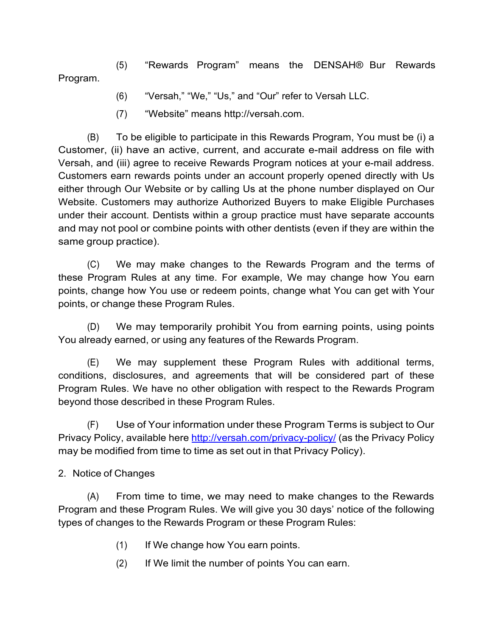Program. (5) "Rewards Program" means the DENSAH® Bur Rewards

- (6) "Versah," "We," "Us," and "Our" refer to Versah LLC.
- (7) "Website" means http://versah.com.

(B) To be eligible to participate in this Rewards Program, You must be (i) a Customer, (ii) have an active, current, and accurate e-mail address on file with Versah, and (iii) agree to receive Rewards Program notices at your e-mail address. Customers earn rewards points under an account properly opened directly with Us either through Our Website or by calling Us at the phone number displayed on Our Website. Customers may authorize Authorized Buyers to make Eligible Purchases under their account. Dentists within a group practice must have separate accounts and may not pool or combine points with other dentists (even if they are within the same group practice).

(C) We may make changes to the Rewards Program and the terms of these Program Rules at any time. For example, We may change how You earn points, change how You use or redeem points, change what You can get with Your points, or change these Program Rules.

(D) We may temporarily prohibit You from earning points, using points You already earned, or using any features of the Rewards Program.

(E) We may supplement these Program Rules with additional terms, conditions, disclosures, and agreements that will be considered part of these Program Rules. We have no other obligation with respect to the Rewards Program beyond those described in these Program Rules.

(F) Use of Your information under these Program Terms is subject to Our Privacy Policy, available here http://versah.com/privacy-policy/ (as the Privacy Policy may be modified from time to time as set out in that Privacy Policy).

2. Notice of Changes

(A) From time to time, we may need to make changes to the Rewards Program and these Program Rules. We will give you 30 days' notice of the following types of changes to the Rewards Program or these Program Rules:

- (1) If We change how You earn points.
- (2) If We limit the number of points You can earn.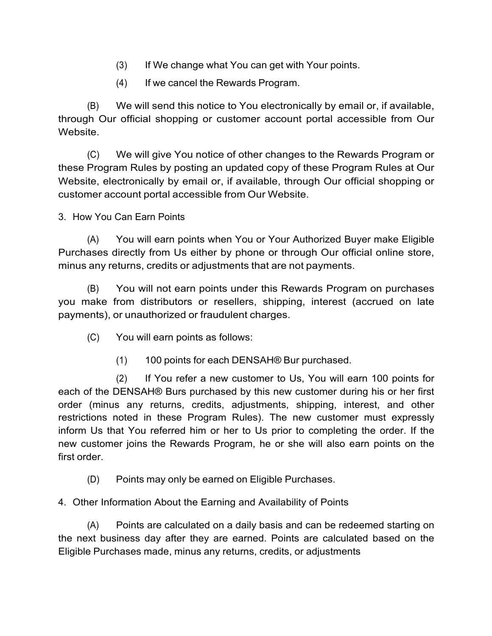- (3) If We change what You can get with Your points.
- (4) If we cancel the Rewards Program.

(B) We will send this notice to You electronically by email or, if available, through Our official shopping or customer account portal accessible from Our Website.

(C) We will give You notice of other changes to the Rewards Program or these Program Rules by posting an updated copy of these Program Rules at Our Website, electronically by email or, if available, through Our official shopping or customer account portal accessible from Our Website.

3. How You Can Earn Points

(A) You will earn points when You or Your Authorized Buyer make Eligible Purchases directly from Us either by phone or through Our official online store, minus any returns, credits or adjustments that are not payments.

(B) You will not earn points under this Rewards Program on purchases you make from distributors or resellers, shipping, interest (accrued on late payments), or unauthorized or fraudulent charges.

- (C) You will earn points as follows:
	- (1) 100 points for each DENSAH® Bur purchased.

(2) If You refer a new customer to Us, You will earn 100 points for each of the DENSAH® Burs purchased by this new customer during his or her first order (minus any returns, credits, adjustments, shipping, interest, and other restrictions noted in these Program Rules). The new customer must expressly inform Us that You referred him or her to Us prior to completing the order. If the new customer joins the Rewards Program, he or she will also earn points on the first order.

- (D) Points may only be earned on Eligible Purchases.
- 4. Other Information About the Earning and Availability of Points

(A) Points are calculated on a daily basis and can be redeemed starting on the next business day after they are earned. Points are calculated based on the Eligible Purchases made, minus any returns, credits, or adjustments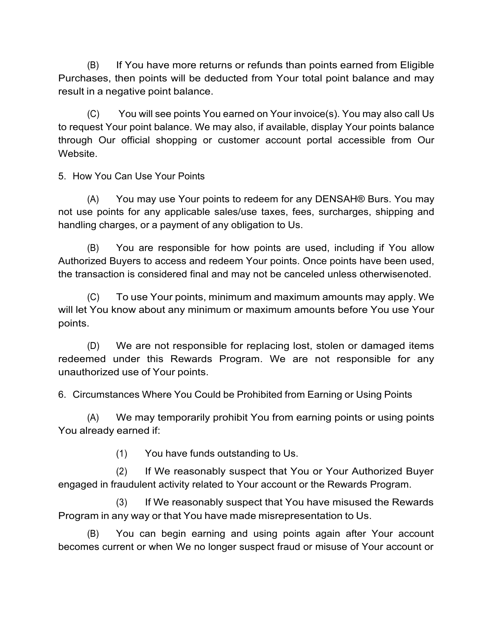(B) If You have more returns or refunds than points earned from Eligible Purchases, then points will be deducted from Your total point balance and may result in a negative point balance.

(C) You will see points You earned on Your invoice(s). You may also call Us to request Your point balance. We may also, if available, display Your points balance through Our official shopping or customer account portal accessible from Our Website.

5. How You Can Use Your Points

(A) You may use Your points to redeem for any DENSAH® Burs. You may not use points for any applicable sales/use taxes, fees, surcharges, shipping and handling charges, or a payment of any obligation to Us.

(B) You are responsible for how points are used, including if You allow Authorized Buyers to access and redeem Your points. Once points have been used, the transaction is considered final and may not be canceled unless otherwisenoted.

(C) To use Your points, minimum and maximum amounts may apply. We will let You know about any minimum or maximum amounts before You use Your points.

(D) We are not responsible for replacing lost, stolen or damaged items redeemed under this Rewards Program. We are not responsible for any unauthorized use of Your points.

6. Circumstances Where You Could be Prohibited from Earning or Using Points

(A) We may temporarily prohibit You from earning points or using points You already earned if:

(1) You have funds outstanding to Us.

(2) If We reasonably suspect that You or Your Authorized Buyer engaged in fraudulent activity related to Your account or the Rewards Program.

(3) If We reasonably suspect that You have misused the Rewards Program in any way or that You have made misrepresentation to Us.

(B) You can begin earning and using points again after Your account becomes current or when We no longer suspect fraud or misuse of Your account or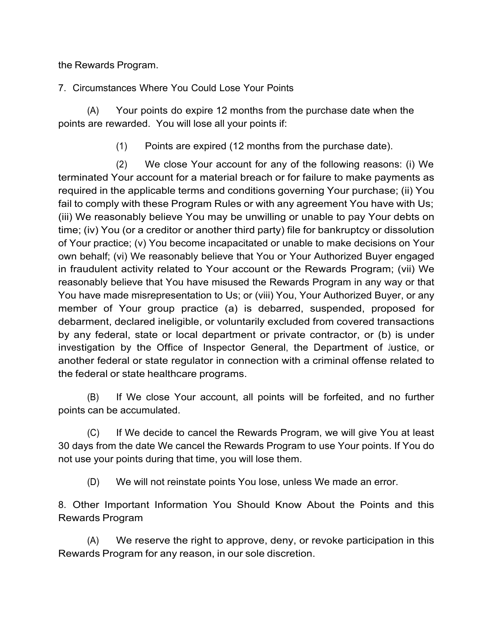the Rewards Program.

7. Circumstances Where You Could Lose Your Points

(A) Your points do expire 12 months from the purchase date when the points are rewarded. You will lose all your points if:

(1) Points are expired (12 months from the purchase date).

(2) We close Your account for any of the following reasons: (i) We terminated Your account for a material breach or for failure to make payments as required in the applicable terms and conditions governing Your purchase; (ii) You fail to comply with these Program Rules or with any agreement You have with Us; (iii) We reasonably believe You may be unwilling or unable to pay Your debts on time; (iv) You (or a creditor or another third party) file for bankruptcy or dissolution of Your practice; (v) You become incapacitated or unable to make decisions on Your own behalf; (vi) We reasonably believe that You or Your Authorized Buyer engaged in fraudulent activity related to Your account or the Rewards Program; (vii) We reasonably believe that You have misused the Rewards Program in any way or that You have made misrepresentation to Us; or (viii) You, Your Authorized Buyer, or any member of Your group practice (a) is debarred, suspended, proposed for debarment, declared ineligible, or voluntarily excluded from covered transactions by any federal, state or local department or private contractor, or (b) is under investigation by the Office of Inspector General, the Department of Justice, or another federal or state regulator in connection with a criminal offense related to the federal or state healthcare programs.

(B) If We close Your account, all points will be forfeited, and no further points can be accumulated.

(C) If We decide to cancel the Rewards Program, we will give You at least 30 days from the date We cancel the Rewards Program to use Your points. If You do not use your points during that time, you will lose them.

(D) We will not reinstate points You lose, unless We made an error.

8. Other Important Information You Should Know About the Points and this Rewards Program

(A) We reserve the right to approve, deny, or revoke participation in this Rewards Program for any reason, in our sole discretion.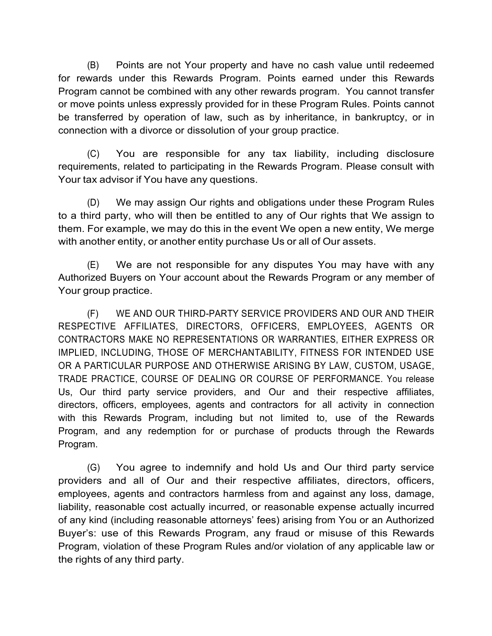(B) Points are not Your property and have no cash value until redeemed for rewards under this Rewards Program. Points earned under this Rewards Program cannot be combined with any other rewards program. You cannot transfer or move points unless expressly provided for in these Program Rules. Points cannot be transferred by operation of law, such as by inheritance, in bankruptcy, or in connection with a divorce or dissolution of your group practice.

(C) You are responsible for any tax liability, including disclosure requirements, related to participating in the Rewards Program. Please consult with Your tax advisor if You have any questions.

(D) We may assign Our rights and obligations under these Program Rules to a third party, who will then be entitled to any of Our rights that We assign to them. For example, we may do this in the event We open a new entity, We merge with another entity, or another entity purchase Us or all of Our assets.

(E) We are not responsible for any disputes You may have with any Authorized Buyers on Your account about the Rewards Program or any member of Your group practice.

(F) WE AND OUR THIRD-PARTY SERVICE PROVIDERS AND OUR AND THEIR RESPECTIVE AFFILIATES, DIRECTORS, OFFICERS, EMPLOYEES, AGENTS OR CONTRACTORS MAKE NO REPRESENTATIONS OR WARRANTIES, EITHER EXPRESS OR IMPLIED, INCLUDING, THOSE OF MERCHANTABILITY, FITNESS FOR INTENDED USE OR A PARTICULAR PURPOSE AND OTHERWISE ARISING BY LAW, CUSTOM, USAGE, TRADE PRACTICE, COURSE OF DEALING OR COURSE OF PERFORMANCE. You release Us, Our third party service providers, and Our and their respective affiliates, directors, officers, employees, agents and contractors for all activity in connection with this Rewards Program, including but not limited to, use of the Rewards Program, and any redemption for or purchase of products through the Rewards Program.

(G) You agree to indemnify and hold Us and Our third party service providers and all of Our and their respective affiliates, directors, officers, employees, agents and contractors harmless from and against any loss, damage, liability, reasonable cost actually incurred, or reasonable expense actually incurred of any kind (including reasonable attorneys' fees) arising from You or an Authorized Buyer's: use of this Rewards Program, any fraud or misuse of this Rewards Program, violation of these Program Rules and/or violation of any applicable law or the rights of any third party.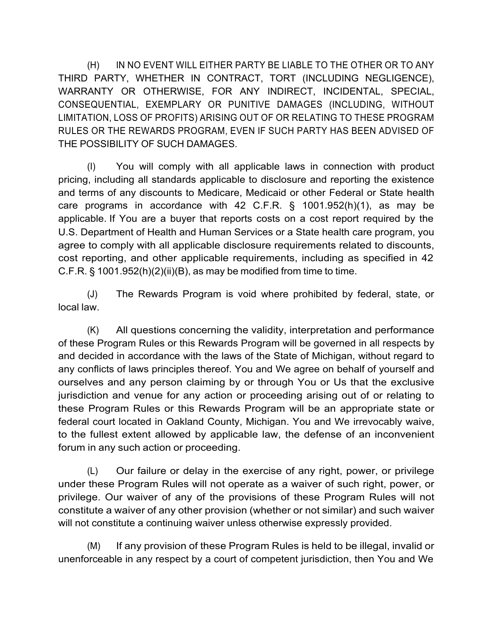(H) IN NO EVENT WILL EITHER PARTY BE LIABLE TO THE OTHER OR TO ANY THIRD PARTY, WHETHER IN CONTRACT, TORT (INCLUDING NEGLIGENCE), WARRANTY OR OTHERWISE, FOR ANY INDIRECT, INCIDENTAL, SPECIAL, CONSEQUENTIAL, EXEMPLARY OR PUNITIVE DAMAGES (INCLUDING, WITHOUT LIMITATION, LOSS OF PROFITS) ARISING OUT OF OR RELATING TO THESE PROGRAM RULES OR THE REWARDS PROGRAM, EVEN IF SUCH PARTY HAS BEEN ADVISED OF THE POSSIBILITY OF SUCH DAMAGES.

(I) You will comply with all applicable laws in connection with product pricing, including all standards applicable to disclosure and reporting the existence and terms of any discounts to Medicare, Medicaid or other Federal or State health care programs in accordance with 42 C.F.R. § 1001.952(h)(1), as may be applicable. If You are a buyer that reports costs on a cost report required by the U.S. Department of Health and Human Services or a State health care program, you agree to comply with all applicable disclosure requirements related to discounts, cost reporting, and other applicable requirements, including as specified in 42 C.F.R.  $\S$  1001.952(h)(2)(ii)(B), as may be modified from time to time.

(J) The Rewards Program is void where prohibited by federal, state, or local law.

(K) All questions concerning the validity, interpretation and performance of these Program Rules or this Rewards Program will be governed in all respects by and decided in accordance with the laws of the State of Michigan, without regard to any conflicts of laws principles thereof. You and We agree on behalf of yourself and ourselves and any person claiming by or through You or Us that the exclusive jurisdiction and venue for any action or proceeding arising out of or relating to these Program Rules or this Rewards Program will be an appropriate state or federal court located in Oakland County, Michigan. You and We irrevocably waive, to the fullest extent allowed by applicable law, the defense of an inconvenient forum in any such action or proceeding.

(L) Our failure or delay in the exercise of any right, power, or privilege under these Program Rules will not operate as a waiver of such right, power, or privilege. Our waiver of any of the provisions of these Program Rules will not constitute a waiver of any other provision (whether or not similar) and such waiver will not constitute a continuing waiver unless otherwise expressly provided.

(M) If any provision of these Program Rules is held to be illegal, invalid or unenforceable in any respect by a court of competent jurisdiction, then You and We